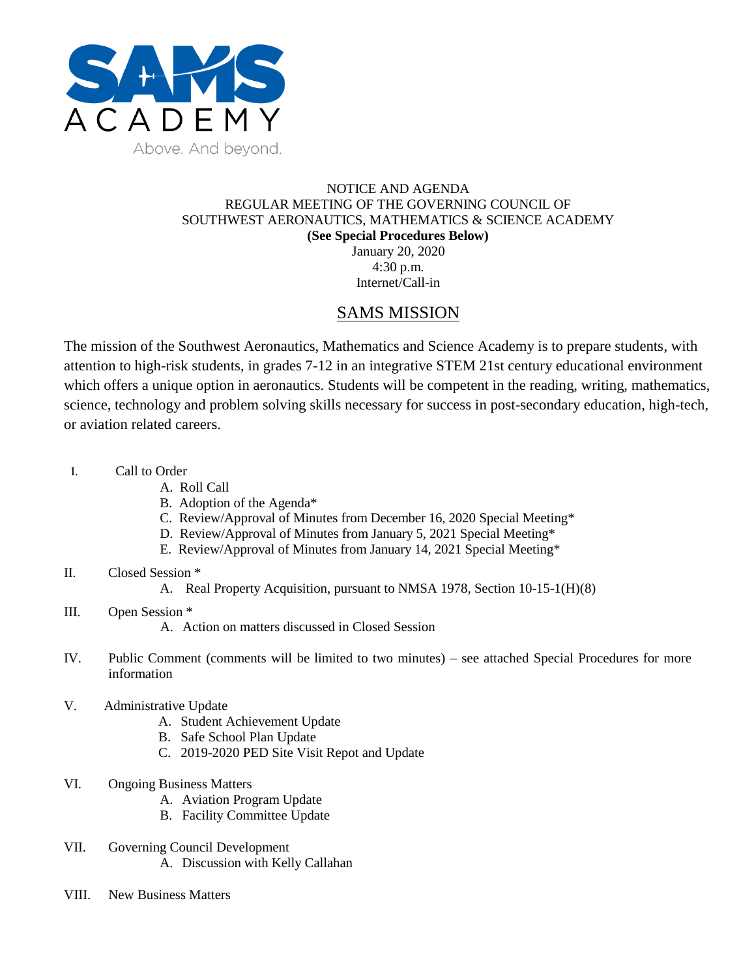

#### NOTICE AND AGENDA REGULAR MEETING OF THE GOVERNING COUNCIL OF SOUTHWEST AERONAUTICS, MATHEMATICS & SCIENCE ACADEMY **(See Special Procedures Below)** January 20, 2020 4:30 p.m.

Internet/Call-in

## SAMS MISSION

The mission of the Southwest Aeronautics, Mathematics and Science Academy is to prepare students, with attention to high-risk students, in grades 7-12 in an integrative STEM 21st century educational environment which offers a unique option in aeronautics. Students will be competent in the reading, writing, mathematics, science, technology and problem solving skills necessary for success in post-secondary education, high-tech, or aviation related careers.

- I. Call to Order
	- A. Roll Call
	- B. Adoption of the Agenda\*
	- C. Review/Approval of Minutes from December 16, 2020 Special Meeting\*
	- D. Review/Approval of Minutes from January 5, 2021 Special Meeting\*
	- E. Review/Approval of Minutes from January 14, 2021 Special Meeting\*
- II. Closed Session \*
	- A. Real Property Acquisition, pursuant to NMSA 1978, Section 10-15-1(H)(8)
- III. Open Session \*

A. Action on matters discussed in Closed Session

- IV. Public Comment (comments will be limited to two minutes) see attached Special Procedures for more information
- V. Administrative Update
	- A. Student Achievement Update
	- B. Safe School Plan Update
	- C. 2019-2020 PED Site Visit Repot and Update
- VI. Ongoing Business Matters
	- A. Aviation Program Update
	- B. Facility Committee Update
- VII. Governing Council Development A. Discussion with Kelly Callahan
- VIII. New Business Matters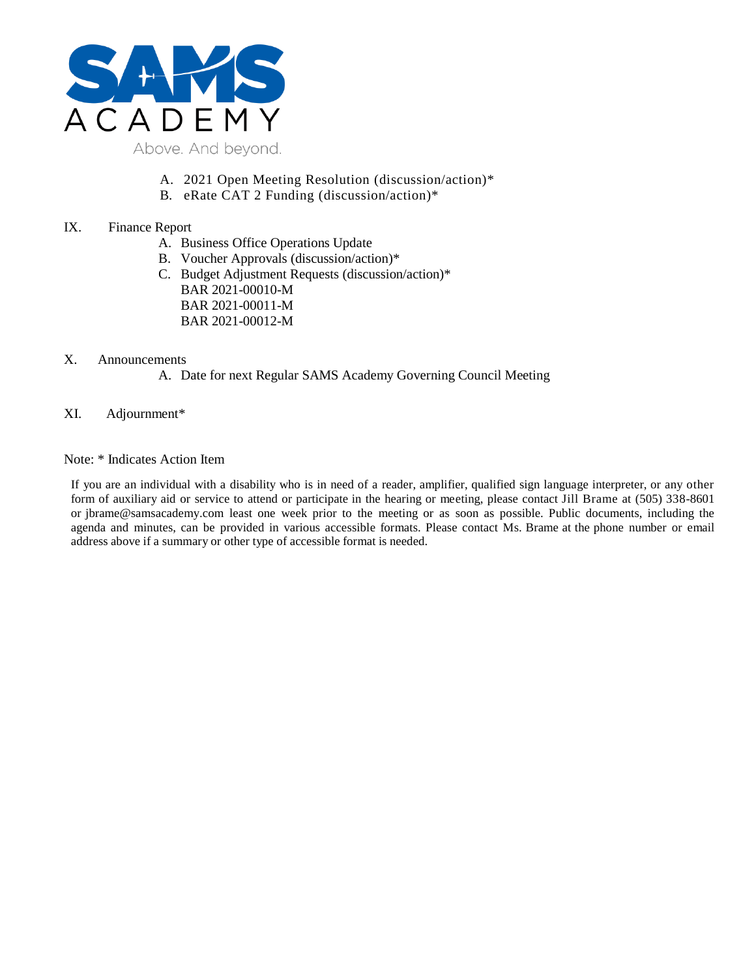

- A. 2021 Open Meeting Resolution (discussion/action)\*
- B. eRate CAT 2 Funding (discussion/action)\*

### IX. Finance Report

- A. Business Office Operations Update
- B. Voucher Approvals (discussion/action)\*
- C. Budget Adjustment Requests (discussion/action)\* BAR 2021-00010-M BAR 2021-00011-M BAR 2021-00012-M

#### X. Announcements

- A. Date for next Regular SAMS Academy Governing Council Meeting
- XI. Adjournment\*

#### Note: \* Indicates Action Item

If you are an individual with a disability who is in need of a reader, amplifier, qualified sign language interpreter, or any other form of auxiliary aid or service to attend or participate in the hearing or meeting, please contact Jill Brame at (505) 338-8601 or jbrame@samsacademy.com least one week prior to the meeting or as soon as possible. Public documents, including the agenda and minutes, can be provided in various accessible formats. Please contact Ms. Brame at the phone number or email address above if a summary or other type of accessible format is needed.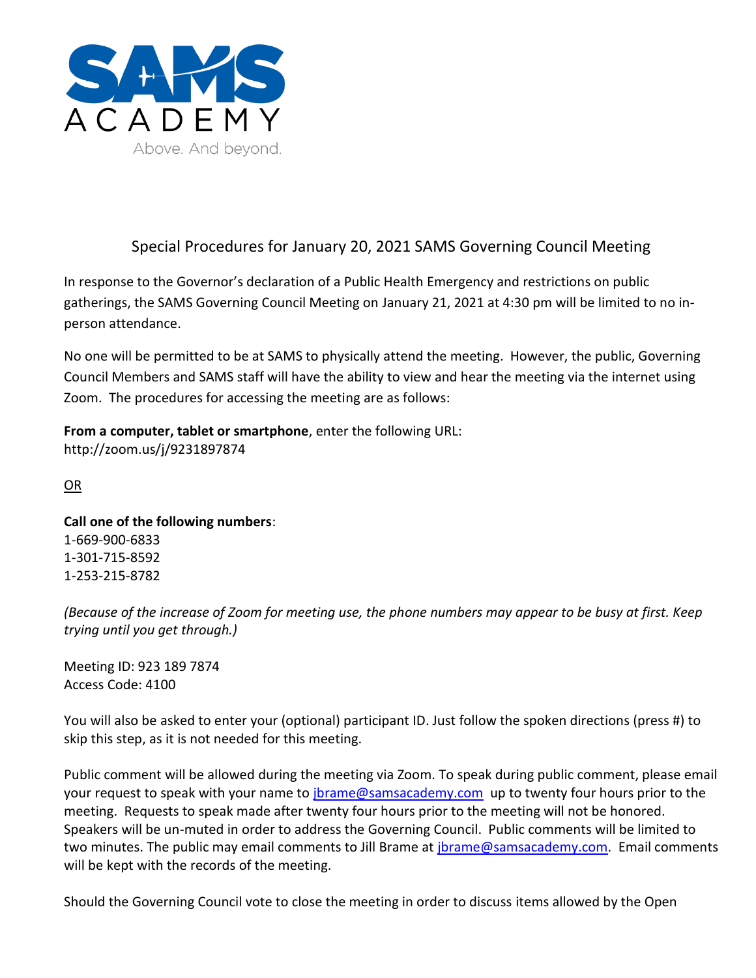

# Special Procedures for January 20, 2021 SAMS Governing Council Meeting

In response to the Governor's declaration of a Public Health Emergency and restrictions on public gatherings, the SAMS Governing Council Meeting on January 21, 2021 at 4:30 pm will be limited to no inperson attendance.

No one will be permitted to be at SAMS to physically attend the meeting. However, the public, Governing Council Members and SAMS staff will have the ability to view and hear the meeting via the internet using Zoom. The procedures for accessing the meeting are as follows:

**From a computer, tablet or smartphone**, enter the following URL: http://zoom.us/j/9231897874

OR

**Call one of the following numbers**: 1-669-900-6833 1-301-715-8592 1-253-215-8782

*(Because of the increase of Zoom for meeting use, the phone numbers may appear to be busy at first. Keep trying until you get through.)*

Meeting ID: 923 189 7874 Access Code: 4100

You will also be asked to enter your (optional) participant ID. Just follow the spoken directions (press #) to skip this step, as it is not needed for this meeting.

Public comment will be allowed during the meeting via Zoom. To speak during public comment, please email your request to speak with your name to *jbrame@samsacademy.com* up to twenty four hours prior to the meeting. Requests to speak made after twenty four hours prior to the meeting will not be honored. Speakers will be un-muted in order to address the Governing Council. Public comments will be limited to two minutes. The public may email comments to Jill Brame at [jbrame@samsacademy.com.](mailto:jbrame@samsacademy.com) Email comments will be kept with the records of the meeting.

Should the Governing Council vote to close the meeting in order to discuss items allowed by the Open